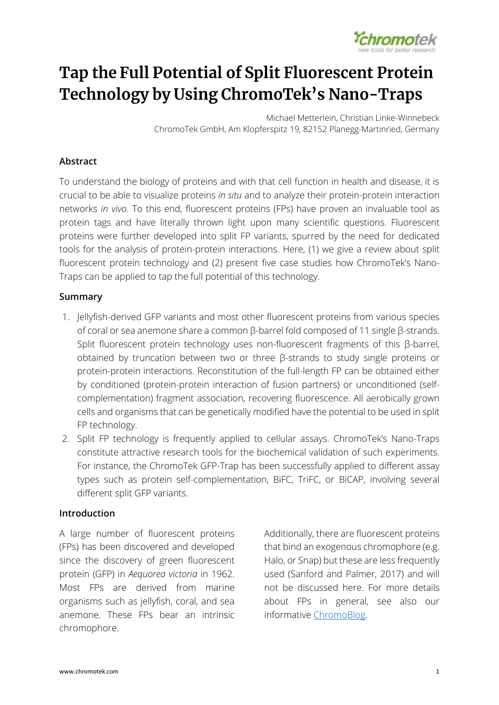

# <span id="page-0-0"></span>Tap the Full Potential of Split Fluorescent Protein Technology by Using ChromoTek's Nano-Traps

Michael Metterlein, Christian Linke-Winnebeck ChromoTek GmbH, Am Klopferspitz 19, 82152 Planegg-Martinried, Germany

## **Abstract**

To understand the biology of proteins and with that cell function in health and disease, it is crucial to be able to visualize proteins *in situ* and to analyze their protein-protein interaction networks *in vivo*. To this end, fluorescent proteins (FPs) have proven an invaluable tool as protein tags and have literally thrown light upon many scientific questions. Fluorescent proteins were further developed into split FP variants, spurred by the need for dedicated tools for the analysis of protein-protein interactions. Here, (1) we give a review about split fluorescent protein technology and (2) present five case studies how ChromoTek's Nano-Traps can be applied to tap the full potential of this technology.

## **Summary**

- 1. Jellyfish-derived GFP variants and most other fluorescent proteins from various species of coral or sea anemone share a common β-barrel fold composed of 11 single β-strands. Split fluorescent protein technology uses non-fluorescent fragments of this β-barrel, obtained by truncation between two or three β-strands to study single proteins or protein-protein interactions. Reconstitution of the full-length FP can be obtained either by conditioned (protein-protein interaction of fusion partners) or unconditioned (selfcomplementation) fragment association, recovering fluorescence. All aerobically grown cells and organisms that can be genetically modified have the potential to be used in split FP technology.
- 2. Split FP technology is frequently applied to cellular assays. ChromoTek's Nano-Traps constitute attractive research tools for the biochemical validation of such experiments. For instance, the ChromoTek GFP-Trap has been successfully applied to different assay types such as protein self-complementation, BiFC, TriFC, or BiCAP, involving several different split GFP variants.

## **Introduction**

A large number of fluorescent proteins (FPs) has been discovered and developed since the discovery of green fluorescent protein (GFP) in *Aequorea victoria* in 1962. Most FPs are derived from marine organisms such as jellyfish, coral, and sea anemone. These FPs bear an intrinsic chromophore.

Additionally, there are fluorescent proteins that bind an exogenous chromophore (e.g. Halo, or Snap) but these are less frequently used (Sanford and Palmer, 2017) and will not be discussed here. For more details about FPs in general, see also our informative [ChromoBlog.](https://resources.chromotek.com/blog/fluorescent-protein-tags)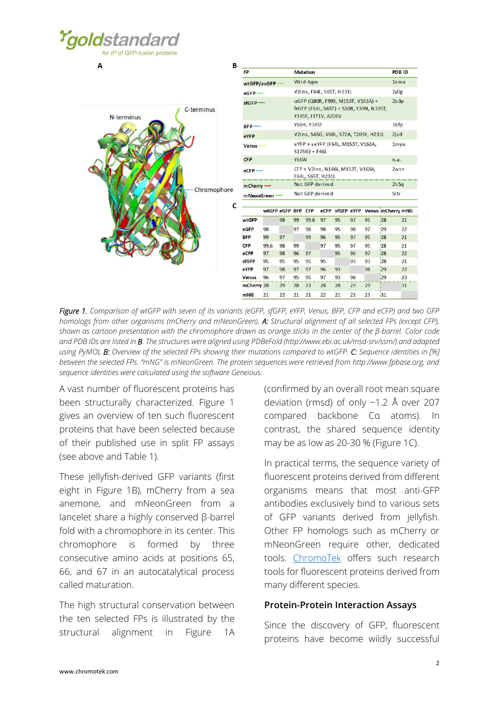

 $\Delta$ 



| FP           |                                                        |    |                                                                                                     | <b>Mutation</b> |         |            |    |      |           | PDB ID            |  |
|--------------|--------------------------------------------------------|----|-----------------------------------------------------------------------------------------------------|-----------------|---------|------------|----|------|-----------|-------------------|--|
| wtGFP/avGFP  |                                                        |    | Wild-type                                                                                           |                 |         |            |    |      |           | 1e ma             |  |
| $eGFP$ ---   |                                                        |    | V2ins, F64L, S65T, H231L                                                                            |                 |         |            |    |      |           | 2y0g              |  |
| $sfGFP$ ---  |                                                        |    | αGFP (Q80R, F99S, M153T, V163A) +<br>frGFP (F64L, S65T) + S30R, Y39N, N105T,<br>Y145F, I171V, A206V |                 |         |            |    |      |           | 2b3p              |  |
| $BFP$ ---    |                                                        |    | Y66H, Y145F                                                                                         |                 |         |            |    |      |           | $1b$ fp           |  |
| eYFP         |                                                        |    | V2ins, S65G, V68L, S72A, T203Y, H231L                                                               |                 |         |            |    |      |           | 2jad              |  |
| <b>Venus</b> |                                                        |    | eYFP + seYFP (F64L, M153T, V163A,<br>$S175G$ ) + F46L                                               |                 |         |            |    |      |           | 1myw              |  |
| CFP          | <b>Y66W</b>                                            |    |                                                                                                     |                 |         |            |    | n.a. |           |                   |  |
| eCFP---      | CFP + V2ins, N146I, M153T, V163A,<br>F64L, S65T, H231L |    |                                                                                                     |                 |         |            |    | 2wsn |           |                   |  |
| mCherry ---  |                                                        |    | Not GFP derived                                                                                     |                 |         |            |    |      |           | $2h$ 5g           |  |
| mNeonGreen - |                                                        |    | Not GFP derived                                                                                     |                 |         |            |    |      |           | $5$ Itr           |  |
|              | wtGFP eGFP BFP CFP                                     |    |                                                                                                     |                 | $e$ CFP | sfGFP eYFP |    |      |           | Venus mCherry mNG |  |
| wtGFP        |                                                        | 98 | 99                                                                                                  | 99.6            | 97      | 95         | 97 | 95   | <b>28</b> | 21                |  |
| eGFP         | 98                                                     |    | 97                                                                                                  | 98              | 98      | 95         | 98 | 97   | 129       | 22                |  |
| <b>BFP</b>   | 99                                                     | 97 |                                                                                                     | 99              | 96      | 95         | 97 | 95   | 128       | 21                |  |
| <b>CFP</b>   | 99.6                                                   | 98 | 99                                                                                                  |                 | 97      | 95         | 97 | 95   | 128       | 21                |  |
| eCFP         | 97                                                     | 98 | 96                                                                                                  | 97              |         | 95         | 96 | 97   | 28        | 22                |  |
| sfGFP        | 95                                                     | 95 | 95                                                                                                  | 95              | 95      |            | 93 | 93   | 28        | 21                |  |
| eYFP         | 97                                                     | 98 | 97                                                                                                  | 97              | 96      | 93         |    | 98   | 29        | 23                |  |
|              | 96                                                     | 97 | 95                                                                                                  | 95              | 97      | 93         | 98 |      | 29        | 23                |  |
| Venus        |                                                        |    |                                                                                                     |                 |         |            |    |      |           |                   |  |
| mCherry 28   |                                                        | 29 | 28                                                                                                  | 23              | 28      | 28         | 29 | 29   |           | 31                |  |

*Figure 1. Comparison of wtGFP with seven of its variants (eGFP, sfGFP, eYFP, Venus, BFP, CFP and eCFP) and two GFP homologs from other organisms (mCherry and mNeonGreen). A: Structural alignment of all selected FPs (except CFP), shown as cartoon presentation with the chromophore drawn as orange sticks in the center of the β-barrel. Color code and PDB IDs are listed in B. The structures were aligned using PDBeFold (http://www.ebi.ac.uk/msd-srv/ssm/) and adapted using PyMOL B: Overview of the selected FPs showing their mutations compared to wtGFP. C: Sequence identities in [%] between the selected FPs. "mNG" is mNeonGreen. The protein sequences were retrieved from http://www.fpbase.org, and sequence identities were calculated using the software Geneious.*

A vast number of fluorescent proteins has been structurally characterized. [Figure 1](#page-0-0) gives an overview of ten such fluorescent proteins that have been selected because of their published use in split FP assays (see above and [Table 1\)](#page-4-0).

These jellyfish-derived GFP variants (first eight in Figure 1B), mCherry from a sea anemone, and mNeonGreen from a lancelet share a highly conserved β-barrel fold with a chromophore in its center. This chromophore is formed by three consecutive amino acids at positions 65, 66, and 67 in an autocatalytical process called maturation.

The high structural conservation between the ten selected FPs is illustrated by the structural alignment in [Figure 1A](#page-0-0)

(confirmed by an overall root mean square deviation (rmsd) of only ~1.2 Å over 207 compared backbone Cα atoms). In contrast, the shared sequence identity may be as low as 20-30 % [\(Figure 1C](#page-0-0)).

In practical terms, the sequence variety of fluorescent proteins derived from different organisms means that most anti-GFP antibodies exclusively bind to various sets of GFP variants derived from jellyfish. Other FP homologs such as mCherry or mNeonGreen require other, dedicated tools. [ChromoTek](https://www.chromotek.com/products/) offers such research tools for fluorescent proteins derived from many different species.

## **Protein-Protein Interaction Assays**

Since the discovery of GFP, fluorescent proteins have become wildly successful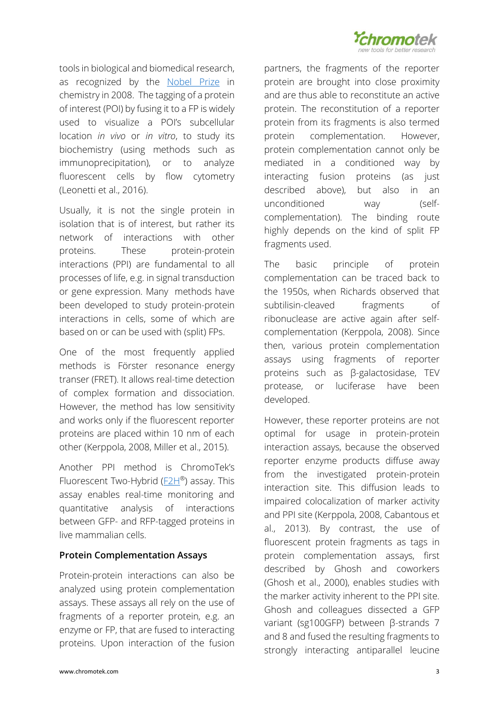

tools in biological and biomedical research, as recognized by the [Nobel Prize](https://www.nobelprize.org/prizes/chemistry/2008/summary/) in chemistry in 2008. The tagging of a protein of interest (POI) by fusing it to a FP is widely used to visualize a POI's subcellular location *in vivo* or *in vitro*, to study its biochemistry (using methods such as immunoprecipitation), or to analyze fluorescent cells by flow cytometry (Leonetti et al., 2016).

Usually, it is not the single protein in isolation that is of interest, but rather its network of interactions with other proteins. These protein-protein interactions (PPI) are fundamental to all processes of life, e.g. in signal transduction or gene expression. Many methods have been developed to study protein-protein interactions in cells, some of which are based on or can be used with (split) FPs.

One of the most frequently applied methods is Förster resonance energy transer (FRET). It allows real-time detection of complex formation and dissociation. However, the method has low sensitivity and works only if the fluorescent reporter proteins are placed within 10 nm of each other (Kerppola, 2008, Miller et al., 2015).

Another PPI method is ChromoTek's Fluorescent Two-Hybrid (E2H®) assay. This assay enables real-time monitoring and quantitative analysis of interactions between GFP- and RFP-tagged proteins in live mammalian cells.

## **Protein Complementation Assays**

Protein-protein interactions can also be analyzed using protein complementation assays. These assays all rely on the use of fragments of a reporter protein, e.g. an enzyme or FP, that are fused to interacting proteins. Upon interaction of the fusion partners, the fragments of the reporter protein are brought into close proximity and are thus able to reconstitute an active protein. The reconstitution of a reporter protein from its fragments is also termed protein complementation. However, protein complementation cannot only be mediated in a conditioned way by interacting fusion proteins (as just described above), but also in an unconditioned way (selfcomplementation). The binding route highly depends on the kind of split FP fragments used.

The basic principle of protein complementation can be traced back to the 1950s, when Richards observed that subtilisin-cleaved fragments of ribonuclease are active again after selfcomplementation (Kerppola, 2008). Since then, various protein complementation assays using fragments of reporter proteins such as β-galactosidase, TEV protease, or luciferase have been developed.

However, these reporter proteins are not optimal for usage in protein-protein interaction assays, because the observed reporter enzyme products diffuse away from the investigated protein-protein interaction site. This diffusion leads to impaired colocalization of marker activity and PPI site (Kerppola, 2008, Cabantous et al., 2013). By contrast, the use of fluorescent protein fragments as tags in protein complementation assays, first described by Ghosh and coworkers (Ghosh et al., 2000), enables studies with the marker activity inherent to the PPI site. Ghosh and colleagues dissected a GFP variant (sg100GFP) between β-strands 7 and 8 and fused the resulting fragments to strongly interacting antiparallel leucine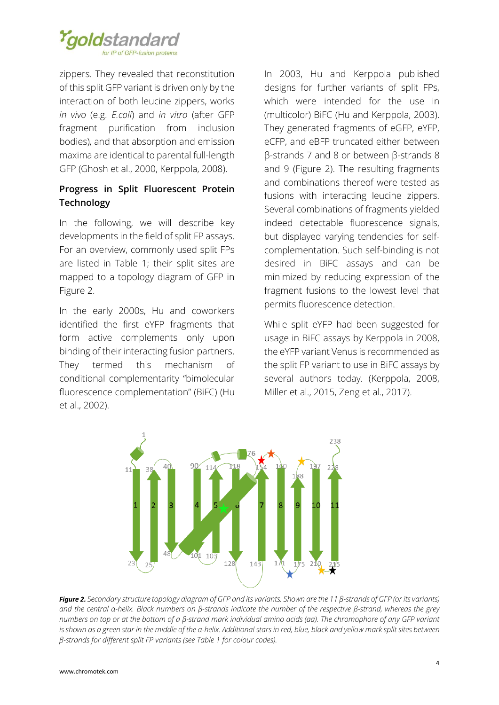

zippers. They revealed that reconstitution of this split GFP variant is driven only by the interaction of both leucine zippers, works *in vivo* (e.g. *E.coli*) and *in vitro* (after GFP fragment purification from inclusion bodies), and that absorption and emission maxima are identical to parental full-length GFP (Ghosh et al., 2000, Kerppola, 2008).

# **Progress in Split Fluorescent Protein Technology**

In the following, we will describe key developments in the field of split FP assays. For an overview, commonly used split FPs are listed in [Table 1;](#page-4-0) their split sites are mapped to a topology diagram of GFP in [Figure 2.](#page-3-0)

In the early 2000s, Hu and coworkers identified the first eYFP fragments that form active complements only upon binding of their interacting fusion partners. They termed this mechanism of conditional complementarity "bimolecular fluorescence complementation" (BiFC) (Hu et al., 2002).

In 2003, Hu and Kerppola published designs for further variants of split FPs, which were intended for the use in (multicolor) BiFC (Hu and Kerppola, 2003). They generated fragments of eGFP, eYFP, eCFP, and eBFP truncated either between β-strands 7 and 8 or between β-strands 8 and 9 [\(Figure 2\)](#page-3-0). The resulting fragments and combinations thereof were tested as fusions with interacting leucine zippers. Several combinations of fragments yielded indeed detectable fluorescence signals, but displayed varying tendencies for selfcomplementation. Such self-binding is not desired in BiFC assays and can be minimized by reducing expression of the fragment fusions to the lowest level that permits fluorescence detection.

While split eYFP had been suggested for usage in BiFC assays by Kerppola in 2008, the eYFP variant Venus is recommended as the split FP variant to use in BiFC assays by several authors today. (Kerppola, 2008, Miller et al., 2015, Zeng et al., 2017).

<span id="page-3-1"></span>

<span id="page-3-0"></span>*Figure 2. Secondary structure topology diagram of GFP and its variants. Shown are the 11 β-strands of GFP (or its variants) and the central α-helix. Black numbers on β-strands indicate the number of the respective β-strand, whereas the grey numbers on top or at the bottom of a β-strand mark individual amino acids (aa). The chromophore of any GFP variant is shown as a green star in the middle of the α-helix. Additional stars in red, blue, black and yellow mark split sites between β-strands for different split FP variants (see Table 1 for colour codes).*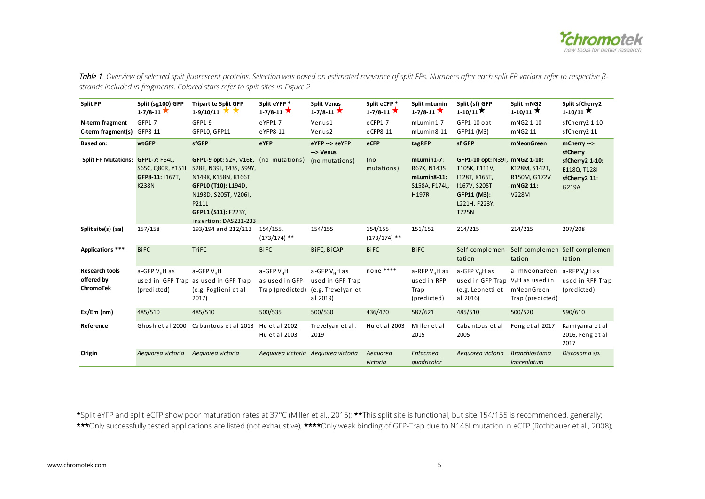

Table 1. Overview of selected split fluorescent proteins. Selection was based on estimated relevance of split FPs. Numbers after each split FP variant refer to respective β*strands included in fragments. Colored stars refer to split sites in [Figure 2.](#page-3-1)* 

| Split FP                                              | Split (sg100) GFP<br>$1 - 7/8 - 11$ $\times$          | <b>Tripartite Split GFP</b><br>$1-9/10/11$ $\lambda$                                                                                                   | Split eYFP*<br>$1 - 7/8 - 11$ $\star$                         | <b>Split Venus</b><br>$1-7/8-11$ $\star$                                 | Split eCFP*<br>$1-7/8-11$ $\star$ | Split mLumin<br>$1 - 7/8 - 11$ $\star$                        | Split (sf) GFP<br>$1-10/11$ ★                                                                  | Split mNG2<br>$1-10/11$                                   | Split sfCherry2<br>$1-10/11$                                 |
|-------------------------------------------------------|-------------------------------------------------------|--------------------------------------------------------------------------------------------------------------------------------------------------------|---------------------------------------------------------------|--------------------------------------------------------------------------|-----------------------------------|---------------------------------------------------------------|------------------------------------------------------------------------------------------------|-----------------------------------------------------------|--------------------------------------------------------------|
| N-term fragment<br>C-term fragment(s) GFP8-11         | GFP1-7                                                | GFP1-9<br>GFP10, GFP11                                                                                                                                 | eYFP1-7<br>eYFP8-11                                           | Venus1<br>Venus <sub>2</sub>                                             | eCFP1-7<br>eCFP8-11               | $mLumin1-7$<br>$mlumin8-11$                                   | GFP1-10 opt<br>GFP11 (M3)                                                                      | mNG2 1-10<br>mNG2 11                                      | sfCherry2 1-10<br>sfCherry2 11                               |
| <b>Based on:</b><br>Split FP Mutations: GFP1-7: F64L, | wtGFP                                                 | sfGFP<br>GFP1-9 opt: S2R, V16E, (no mutations)                                                                                                         | eYFP                                                          | eYFP -- > seYFP<br>--> Venus<br>(no mutations)                           | eCFP<br>(no                       | tagRFP<br>$mLumin1-7$ :                                       | sf GFP<br>GFP1-10 opt: N39I, mNG2 1-10:                                                        | mNeonGreen                                                | mCherry --><br>sfCherry<br>sfCherry2 1-10:                   |
|                                                       | S65C, Q80R, Y151L<br>GFP8-11:   167T,<br><b>K238N</b> | S28F, N39I, T43S, S99Y,<br>N149K, K158N, K166T<br>GFP10 (T10): L194D,<br>N198D, S205T, V206I,<br>P211L<br>GFP11 (S11): F223Y,<br>insertion: DAS231-233 |                                                               |                                                                          | mutations)                        | R67K, N143S<br>$mlumn8-11$ :<br>S158A, F174L,<br><b>H197R</b> | T105K, E111V,<br>1128T, K166T,<br>1167V, S205T<br>GFP11 (M3):<br>L221H, F223Y,<br><b>T225N</b> | K128M, S142T,<br>R150M, G172V<br>mNG2 11:<br><b>V228M</b> | E118Q, T128I<br>sfCherry2 11:<br>G219A                       |
| Split site(s) (aa)                                    | 157/158                                               | 193/194 and 212/213                                                                                                                                    | 154/155,<br>$(173/174)$ **                                    | 154/155                                                                  | 154/155<br>$(173/174)$ **         | 151/152                                                       | 214/215                                                                                        | 214/215                                                   | 207/208                                                      |
| Applications ***                                      | <b>BiFC</b>                                           | <b>TriFC</b>                                                                                                                                           | <b>BiFC</b>                                                   | BiFC, BiCAP                                                              | <b>BiFC</b>                       | <b>BiFC</b>                                                   | tation                                                                                         | tation                                                    | Self-complemen- Self-complemen-Self-complemen-<br>tation     |
| <b>Research tools</b><br>offered by<br>ChromoTek      | a-GFP V <sub>H</sub> H as<br>(predicted)              | a-GFP V <sub>H</sub> H<br>used in GFP-Trap as used in GFP-Trap<br>(e.g. Foglieni et al<br>2017)                                                        | a-GFP V <sub>H</sub> H<br>as used in GFP-<br>Trap (predicted) | $a$ -GFP $V_HH$ as<br>used in GFP-Trap<br>(e.g. Trevelyan et<br>al 2019) | none ****                         | $a$ -RFP $V_HH$ as<br>used in RFP-<br>Tra p<br>(predicted)    | a-GFP $V_HH$ as<br>used in GFP-Trap $V_HH$ as used in<br>(e.g. Leonetti et<br>al 2016)         | a-mNeonGreen<br>mNeonGreen-<br>Trap (predicted)           | a-RFP V <sub>H</sub> H as<br>used in RFP-Trap<br>(predicted) |
| $Ex/Em$ (nm)                                          | 485/510                                               | 485/510                                                                                                                                                | 500/535                                                       | 500/530                                                                  | 436/470                           | 587/621                                                       | 485/510                                                                                        | 500/520                                                   | 590/610                                                      |
| Reference                                             | Ghosh et al 2000                                      | Cabantous et al 2013                                                                                                                                   | Hu et al 2002,<br>Hu et al 2003                               | Trevelyan et al.<br>2019                                                 | Hu et al 2003                     | Miller et al<br>2015                                          | Cabantous et al<br>2005                                                                        | Feng et al 2017                                           | Kamiyama et al<br>2016, Feng et al<br>2017                   |
| Origin                                                | Aequorea victoria                                     | Aeguorea victoria                                                                                                                                      |                                                               | Aequorea victoria Aequorea victoria                                      | Aequorea<br>victoria              | Entacmea<br>quadricolor                                       | Aequorea victoria                                                                              | <b>Branchiostoma</b><br>lanceolatum                       | Discosoma sp.                                                |

<span id="page-4-0"></span>\*Split eYFP and split eCFP show poor maturation rates at 37°C (Miller et al., 2015); \*\*This split site is functional, but site 154/155 is recommended, generally; \*\*\*Only successfully tested applications are listed (not exhaustive); \*\*\*\*Only weak binding of GFP-Trap due to N146I mutation in eCFP (Rothbauer et al., 2008);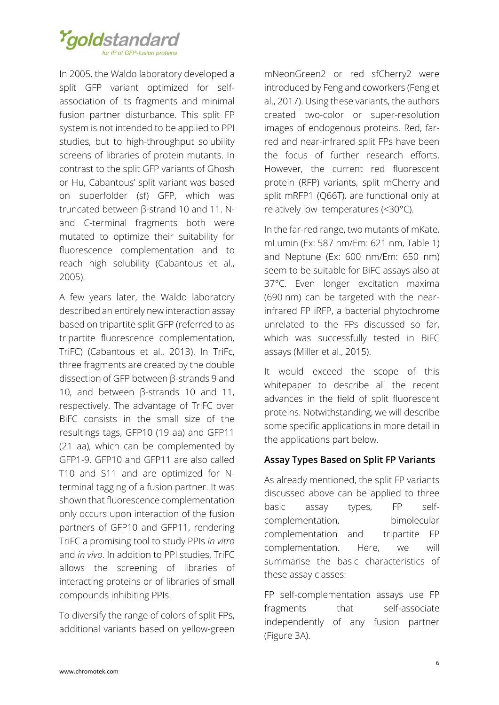

In 2005, the Waldo laboratory developed a split GFP variant optimized for selfassociation of its fragments and minimal fusion partner disturbance. This split FP system is not intended to be applied to PPI studies, but to high-throughput solubility screens of libraries of protein mutants. In contrast to the split GFP variants of Ghosh or Hu, Cabantous' split variant was based on superfolder (sf) GFP, which was truncated between β-strand 10 and 11. Nand C-terminal fragments both were mutated to optimize their suitability for fluorescence complementation and to reach high solubility (Cabantous et al., 2005).

A few years later, the Waldo laboratory described an entirely new interaction assay based on tripartite split GFP (referred to as tripartite fluorescence complementation, TriFC) (Cabantous et al., 2013). In TriFc, three fragments are created by the double dissection of GFP between β-strands 9 and 10, and between β-strands 10 and 11, respectively. The advantage of TriFC over BiFC consists in the small size of the resultings tags, GFP10 (19 aa) and GFP11 (21 aa), which can be complemented by GFP1-9. GFP10 and GFP11 are also called T10 and S11 and are optimized for Nterminal tagging of a fusion partner. It was shown that fluorescence complementation only occurs upon interaction of the fusion partners of GFP10 and GFP11, rendering TriFC a promising tool to study PPIs *in vitro* and *in vivo*. In addition to PPI studies, TriFC allows the screening of libraries of interacting proteins or of libraries of small compounds inhibiting PPIs.

To diversify the range of colors of split FPs, additional variants based on yellow-green mNeonGreen2 or red sfCherry2 were introduced by Feng and coworkers (Feng et al., 2017). Using these variants, the authors created two-color or super-resolution images of endogenous proteins. Red, farred and near-infrared split FPs have been the focus of further research efforts. However, the current red fluorescent protein (RFP) variants, split mCherry and split mRFP1 (Q66T), are functional only at relatively low temperatures (<30°C).

In the far-red range, two mutants of mKate, mLumin (Ex: 587 nm/Em: 621 nm, [Table 1\)](#page-4-0) and Neptune (Ex: 600 nm/Em: 650 nm) seem to be suitable for BiFC assays also at 37°C. Even longer excitation maxima (690 nm) can be targeted with the nearinfrared FP iRFP, a bacterial phytochrome unrelated to the FPs discussed so far, which was successfully tested in BiFC assays (Miller et al., 2015).

It would exceed the scope of this whitepaper to describe all the recent advances in the field of split fluorescent proteins. Notwithstanding, we will describe some specific applications in more detail in the applications part below.

## **Assay Types Based on Split FP Variants**

As already mentioned, the split FP variants discussed above can be applied to three basic assay types, FP selfcomplementation, bimolecular complementation and tripartite FP complementation. Here, we will summarise the basic characteristics of these assay classes:

FP self-complementation assays use FP fragments that self-associate independently of any fusion partner [\(Figure 3A](#page-6-0)).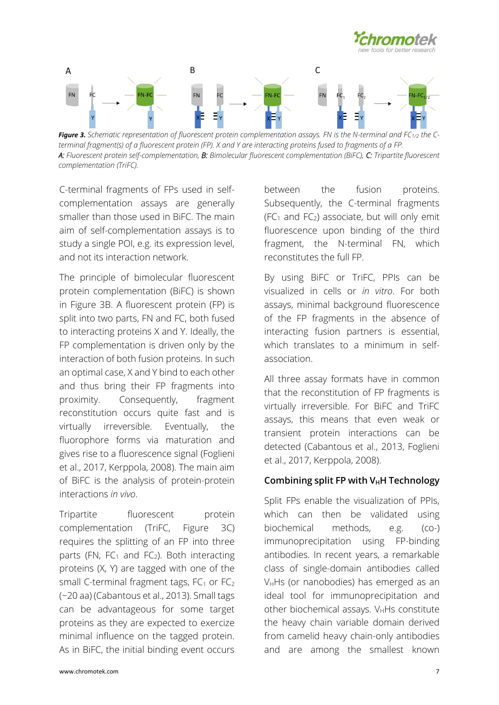



<span id="page-6-0"></span>**Figure 3.** Schematic representation of fluorescent protein complementation assays. FN is the N-terminal and FC<sub>1/2</sub> the C*terminal fragment(s) of a fluorescent protein (FP). X and Y are interacting proteins fused to fragments of a FP. A: Fluorescent protein self-complementation, B: Bimolecular fluorescent complementation (BiFC), C: Tripartite fluorescent complementation (TriFC).*

C-terminal fragments of FPs used in selfcomplementation assays are generally smaller than those used in BiFC. The main aim of self-complementation assays is to study a single POI, e.g. its expression level, and not its interaction network.

The principle of bimolecular fluorescent protein complementation (BiFC) is shown in [Figure 3B](#page-6-0). A fluorescent protein (FP) is split into two parts, FN and FC, both fused to interacting proteins X and Y. Ideally, the FP complementation is driven only by the interaction of both fusion proteins. In such an optimal case, X and Y bind to each other and thus bring their FP fragments into proximity. Consequently, fragment reconstitution occurs quite fast and is virtually irreversible. Eventually, the fluorophore forms via maturation and gives rise to a fluorescence signal (Foglieni et al., 2017, Kerppola, 2008). The main aim of BiFC is the analysis of protein-protein interactions *in vivo*.

Tripartite fluorescent protein complementation (TriFC, [Figure 3C](#page-6-0)) requires the splitting of an FP into three parts (FN, FC<sub>1</sub> and FC<sub>2</sub>). Both interacting proteins (X, Y) are tagged with one of the small C-terminal fragment tags,  $FC_1$  or  $FC_2$ (~20 aa) (Cabantous et al., 2013). Small tags can be advantageous for some target proteins as they are expected to exercize minimal influence on the tagged protein. As in BiFC, the initial binding event occurs

between the fusion proteins. Subsequently, the C-terminal fragments  $(FC<sub>1</sub>$  and  $FC<sub>2</sub>)$  associate, but will only emit fluorescence upon binding of the third fragment, the N-terminal FN, which reconstitutes the full FP.

By using BiFC or TriFC, PPIs can be visualized in cells or *in vitro*. For both assays, minimal background fluorescence of the FP fragments in the absence of interacting fusion partners is essential, which translates to a minimum in selfassociation.

All three assay formats have in common that the reconstitution of FP fragments is virtually irreversible. For BiFC and TriFC assays, this means that even weak or transient protein interactions can be detected (Cabantous et al., 2013, Foglieni et al., 2017, Kerppola, 2008).

## **Combining split FP with VHH Technology**

Split FPs enable the visualization of PPIs, which can then be validated using biochemical methods, e.g. (co-) immunoprecipitation using FP-binding antibodies. In recent years, a remarkable class of single-domain antibodies called V<sub>H</sub>Hs (or nanobodies) has emerged as an ideal tool for immunoprecipitation and other biochemical assays.  $V_H$ Hs constitute the heavy chain variable domain derived from camelid heavy chain-only antibodies and are among the smallest known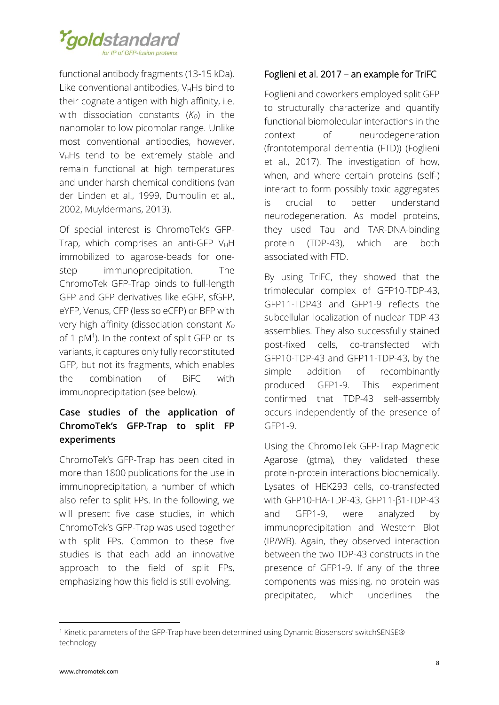

functional antibody fragments (13-15 kDa). Like conventional antibodies,  $V_H$ Hs bind to their cognate antigen with high affinity, i.e. with dissociation constants  $(K_D)$  in the nanomolar to low picomolar range. Unlike most conventional antibodies, however, VHHs tend to be extremely stable and remain functional at high temperatures and under harsh chemical conditions (van der Linden et al., 1999, Dumoulin et al., 2002, Muyldermans, 2013).

Of special interest is ChromoTek's GFP-Trap, which comprises an anti-GFP  $V_HH$ immobilized to agarose-beads for onestep immunoprecipitation. The ChromoTek GFP-Trap binds to full-length GFP and GFP derivatives like eGFP, sfGFP, eYFP, Venus, CFP (less so eCFP) or BFP with very high affinity (dissociation constant *K<sup>D</sup>* of 1 pM<sup>1</sup>). In the context of split GFP or its variants, it captures only fully reconstituted GFP, but not its fragments, which enables the combination of BiFC with immunoprecipitation (see below).

# **Case studies of the application of ChromoTek's GFP-Trap to split FP experiments**

ChromoTek's GFP-Trap has been cited in more than 1800 publications for the use in immunoprecipitation, a number of which also refer to split FPs. In the following, we will present five case studies, in which ChromoTek's GFP-Trap was used together with split FPs. Common to these five studies is that each add an innovative approach to the field of split FPs, emphasizing how this field is still evolving.

# Foglieni et al. 2017 – an example for TriFC

Foglieni and coworkers employed split GFP to structurally characterize and quantify functional biomolecular interactions in the context of neurodegeneration (frontotemporal dementia (FTD)) (Foglieni et al., 2017). The investigation of how, when, and where certain proteins (self-) interact to form possibly toxic aggregates is crucial to better understand neurodegeneration. As model proteins, they used Tau and TAR-DNA-binding protein (TDP-43), which are both associated with FTD.

By using TriFC, they showed that the trimolecular complex of GFP10-TDP-43, GFP11-TDP43 and GFP1-9 reflects the subcellular localization of nuclear TDP-43 assemblies. They also successfully stained post-fixed cells, co-transfected with GFP10-TDP-43 and GFP11-TDP-43, by the simple addition of recombinantly produced GFP1-9. This experiment confirmed that TDP-43 self-assembly occurs independently of the presence of GFP1-9.

Using the ChromoTek GFP-Trap Magnetic Agarose (gtma), they validated these protein-protein interactions biochemically. Lysates of HEK293 cells, co-transfected with GFP10-HA-TDP-43, GFP11-β1-TDP-43 and GFP1-9, were analyzed by immunoprecipitation and Western Blot (IP/WB). Again, they observed interaction between the two TDP-43 constructs in the presence of GFP1-9. If any of the three components was missing, no protein was precipitated, which underlines the

**.** 

<sup>1</sup> Kinetic parameters of the GFP-Trap have been determined using Dynamic Biosensors' switchSENSE® technology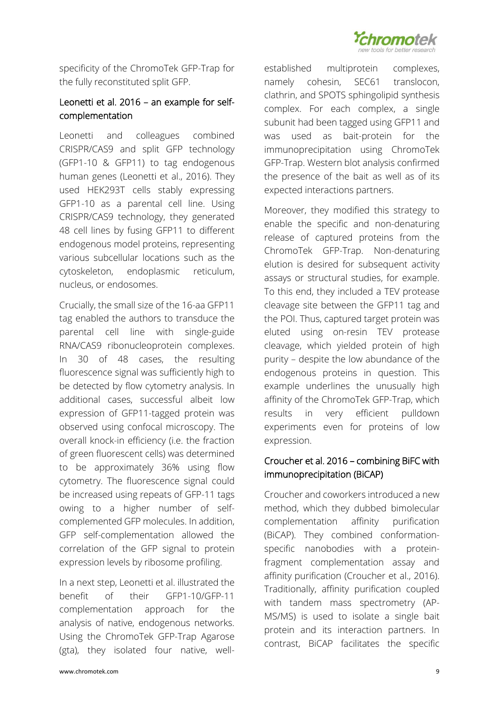

specificity of the ChromoTek GFP-Trap for the fully reconstituted split GFP.

# Leonetti et al. 2016 – an example for selfcomplementation

Leonetti and colleagues combined CRISPR/CAS9 and split GFP technology (GFP1-10 & GFP11) to tag endogenous human genes (Leonetti et al., 2016). They used HEK293T cells stably expressing GFP1-10 as a parental cell line. Using CRISPR/CAS9 technology, they generated 48 cell lines by fusing GFP11 to different endogenous model proteins, representing various subcellular locations such as the cytoskeleton, endoplasmic reticulum, nucleus, or endosomes.

Crucially, the small size of the 16-aa GFP11 tag enabled the authors to transduce the parental cell line with single-guide RNA/CAS9 ribonucleoprotein complexes. In 30 of 48 cases, the resulting fluorescence signal was sufficiently high to be detected by flow cytometry analysis. In additional cases, successful albeit low expression of GFP11-tagged protein was observed using confocal microscopy. The overall knock-in efficiency (i.e. the fraction of green fluorescent cells) was determined to be approximately 36% using flow cytometry. The fluorescence signal could be increased using repeats of GFP-11 tags owing to a higher number of selfcomplemented GFP molecules. In addition, GFP self-complementation allowed the correlation of the GFP signal to protein expression levels by ribosome profiling.

In a next step, Leonetti et al. illustrated the benefit of their GFP1-10/GFP-11 complementation approach for the analysis of native, endogenous networks. Using the ChromoTek GFP-Trap Agarose (gta), they isolated four native, wellestablished multiprotein complexes, namely cohesin, SEC61 translocon, clathrin, and SPOTS sphingolipid synthesis complex. For each complex, a single subunit had been tagged using GFP11 and was used as bait-protein for the immunoprecipitation using ChromoTek GFP-Trap. Western blot analysis confirmed the presence of the bait as well as of its expected interactions partners.

Moreover, they modified this strategy to enable the specific and non-denaturing release of captured proteins from the ChromoTek GFP-Trap. Non-denaturing elution is desired for subsequent activity assays or structural studies, for example. To this end, they included a TEV protease cleavage site between the GFP11 tag and the POI. Thus, captured target protein was eluted using on-resin TEV protease cleavage, which yielded protein of high purity – despite the low abundance of the endogenous proteins in question. This example underlines the unusually high affinity of the ChromoTek GFP-Trap, which results in very efficient pulldown experiments even for proteins of low expression.

# Croucher et al. 2016 – combining BiFC with immunoprecipitation (BiCAP)

Croucher and coworkers introduced a new method, which they dubbed bimolecular complementation affinity purification (BiCAP). They combined conformationspecific nanobodies with a proteinfragment complementation assay and affinity purification (Croucher et al., 2016). Traditionally, affinity purification coupled with tandem mass spectrometry (AP-MS/MS) is used to isolate a single bait protein and its interaction partners. In contrast, BiCAP facilitates the specific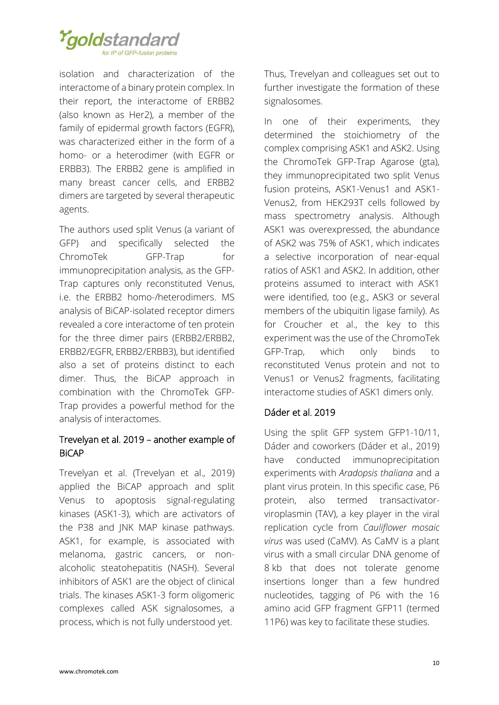

isolation and characterization of the interactome of a binary protein complex. In their report, the interactome of ERBB2 (also known as Her2), a member of the family of epidermal growth factors (EGFR), was characterized either in the form of a homo- or a heterodimer (with EGFR or ERBB3). The ERBB2 gene is amplified in many breast cancer cells, and ERBB2 dimers are targeted by several therapeutic agents.

The authors used split Venus (a variant of GFP) and specifically selected the ChromoTek GFP-Trap for immunoprecipitation analysis, as the GFP-Trap captures only reconstituted Venus, i.e. the ERBB2 homo-/heterodimers. MS analysis of BiCAP-isolated receptor dimers revealed a core interactome of ten protein for the three dimer pairs (ERBB2/ERBB2, ERBB2/EGFR, ERBB2/ERBB3), but identified also a set of proteins distinct to each dimer. Thus, the BiCAP approach in combination with the ChromoTek GFP-Trap provides a powerful method for the analysis of interactomes.

# Trevelyan et al. 2019 – another example of BiCAP

Trevelyan et al. (Trevelyan et al., 2019) applied the BiCAP approach and split Venus to apoptosis signal-regulating kinases (ASK1-3), which are activators of the P38 and JNK MAP kinase pathways. ASK1, for example, is associated with melanoma, gastric cancers, or nonalcoholic steatohepatitis (NASH). Several inhibitors of ASK1 are the object of clinical trials. The kinases ASK1-3 form oligomeric complexes called ASK signalosomes, a process, which is not fully understood yet.

Thus, Trevelyan and colleagues set out to further investigate the formation of these signalosomes.

In one of their experiments, they determined the stoichiometry of the complex comprising ASK1 and ASK2. Using the ChromoTek GFP-Trap Agarose (gta), they immunoprecipitated two split Venus fusion proteins, ASK1-Venus1 and ASK1- Venus2, from HEK293T cells followed by mass spectrometry analysis. Although ASK1 was overexpressed, the abundance of ASK2 was 75% of ASK1, which indicates a selective incorporation of near-equal ratios of ASK1 and ASK2. In addition, other proteins assumed to interact with ASK1 were identified, too (e.g., ASK3 or several members of the ubiquitin ligase family). As for Croucher et al., the key to this experiment was the use of the ChromoTek GFP-Trap, which only binds to reconstituted Venus protein and not to Venus1 or Venus2 fragments, facilitating interactome studies of ASK1 dimers only.

# Dáder et al. 2019

Using the split GFP system GFP1-10/11, Dáder and coworkers (Dáder et al., 2019) have conducted immunoprecipitation experiments with *Aradopsis thaliana* and a plant virus protein. In this specific case, P6 protein, also termed transactivatorviroplasmin (TAV), a key player in the viral replication cycle from *Cauliflower mosaic virus* was used (CaMV). As CaMV is a plant virus with a small circular DNA genome of 8 kb that does not tolerate genome insertions longer than a few hundred nucleotides, tagging of P6 with the 16 amino acid GFP fragment GFP11 (termed 11P6) was key to facilitate these studies.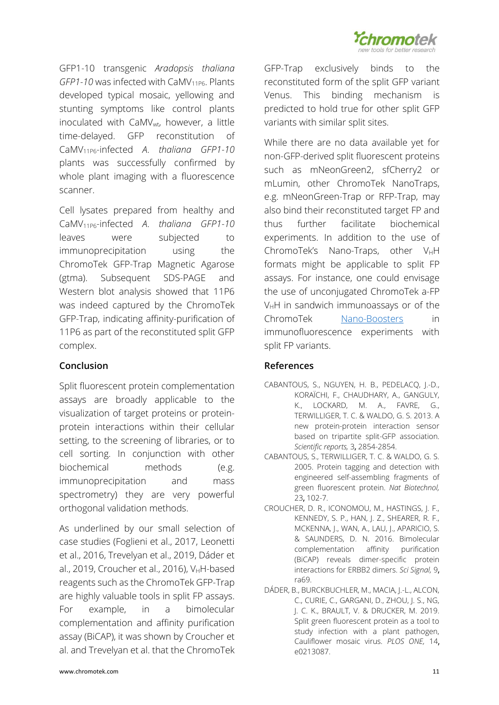

GFP1-10 transgenic *Aradopsis thaliana GFP1-10* was infected with CaMV<sub>11P6</sub>. Plants developed typical mosaic, yellowing and stunting symptoms like control plants inoculated with CaMV<sub>wt</sub>, however, a little time-delayed. GFP reconstitution of CaMV11P6-infected *A*. *thaliana GFP1-10*  plants was successfully confirmed by whole plant imaging with a fluorescence scanner.

Cell lysates prepared from healthy and CaMV11P6-infected *A*. *thaliana GFP1-10*  leaves were subjected to immunoprecipitation using the ChromoTek GFP-Trap Magnetic Agarose (gtma). Subsequent SDS-PAGE and Western blot analysis showed that 11P6 was indeed captured by the ChromoTek GFP-Trap, indicating affinity-purification of 11P6 as part of the reconstituted split GFP complex.

## **Conclusion**

Split fluorescent protein complementation assays are broadly applicable to the visualization of target proteins or proteinprotein interactions within their cellular setting, to the screening of libraries, or to cell sorting. In conjunction with other biochemical methods (e.g. immunoprecipitation and mass spectrometry) they are very powerful orthogonal validation methods.

As underlined by our small selection of case studies (Foglieni et al., 2017, Leonetti et al., 2016, Trevelyan et al., 2019, Dáder et al., 2019, Croucher et al., 2016), V $H$ -based reagents such as the ChromoTek GFP-Trap are highly valuable tools in split FP assays. For example, in a bimolecular complementation and affinity purification assay (BiCAP), it was shown by Croucher et al. and Trevelyan et al. that the ChromoTek

GFP-Trap exclusively binds to the reconstituted form of the split GFP variant Venus. This binding mechanism is predicted to hold true for other split GFP variants with similar split sites.

While there are no data available yet for non-GFP-derived split fluorescent proteins such as mNeonGreen2, sfCherry2 or mLumin, other ChromoTek NanoTraps, e.g. mNeonGreen-Trap or RFP-Trap, may also bind their reconstituted target FP and thus further facilitate biochemical experiments. In addition to the use of ChromoTek's Nano-Traps, other  $V_HH$ formats might be applicable to split FP assays. For instance, one could envisage the use of unconjugated ChromoTek a-FP  $V_HH$  in sandwich immunoassays or of the ChromoTek [Nano-Boosters](https://www.chromotek.com/products/detail/product-detail/nano-boosters-nano-labels/) in immunofluorescence experiments with split FP variants.

# **References**

- CABANTOUS, S., NGUYEN, H. B., PEDELACQ, J.-D., KORAÏCHI, F., CHAUDHARY, A., GANGULY, K., LOCKARD, M. A., FAVRE, G., TERWILLIGER, T. C. & WALDO, G. S. 2013. A new protein-protein interaction sensor based on tripartite split-GFP association. *Scientific reports,* 3, 2854-2854.
- CABANTOUS, S., TERWILLIGER, T. C. & WALDO, G. S. 2005. Protein tagging and detection with engineered self-assembling fragments of green fluorescent protein. *Nat Biotechnol,* 23, 102-7.
- CROUCHER, D. R., ICONOMOU, M., HASTINGS, J. F., KENNEDY, S. P., HAN, J. Z., SHEARER, R. F., MCKENNA, J., WAN, A., LAU, J., APARICIO, S. & SAUNDERS, D. N. 2016. Bimolecular complementation affinity purification (BiCAP) reveals dimer-specific protein interactions for ERBB2 dimers. *Sci Signal,* 9, ra69.
- DÁDER, B., BURCKBUCHLER, M., MACIA, J.-L., ALCON, C., CURIE, C., GARGANI, D., ZHOU, J. S., NG, J. C. K., BRAULT, V. & DRUCKER, M. 2019. Split green fluorescent protein as a tool to study infection with a plant pathogen, Cauliflower mosaic virus. *PLOS ONE,* 14, e0213087.